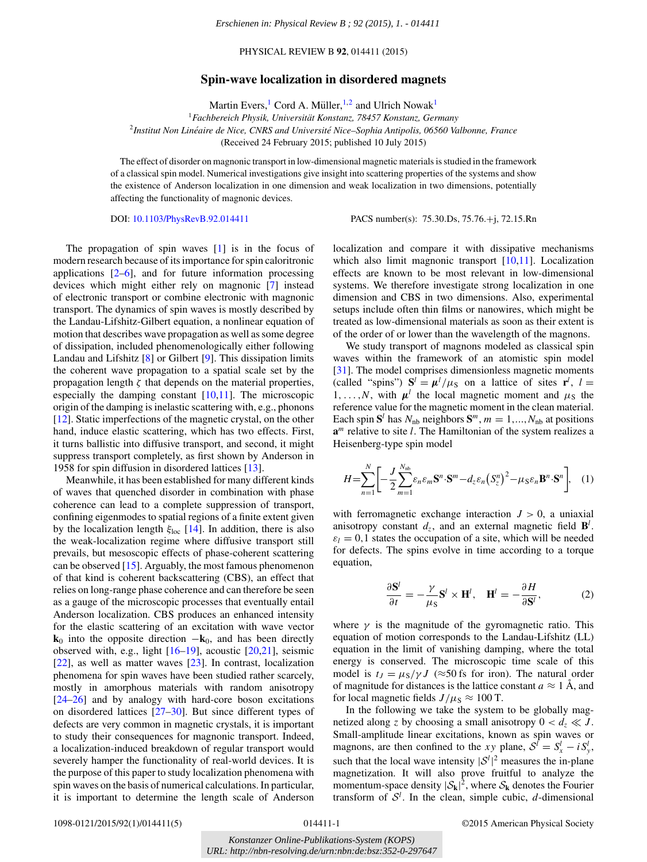PHYSICAL REVIEW B **92**, 014411 (2015)

## **Spin-wave localization in disordered magnets**

Martin Evers,<sup>1</sup> Cord A. Müller, <sup>1,2</sup> and Ulrich Nowak<sup>1</sup>

<sup>1</sup>*Fachbereich Physik, Universitat Konstanz, 78457 Konstanz, Germany ¨* <sup>2</sup>*Institut Non Lineaire de Nice, CNRS and Universit ´ e Nice–Sophia Antipolis, 06560 Valbonne, France ´* (Received 24 February 2015; published 10 July 2015)

The effect of disorder on magnonic transport in low-dimensional magnetic materials is studied in the framework of a classical spin model. Numerical investigations give insight into scattering properties of the systems and show the existence of Anderson localization in one dimension and weak localization in two dimensions, potentially affecting the functionality of magnonic devices.

DOI: [10.1103/PhysRevB.92.014411](http://dx.doi.org/10.1103/PhysRevB.92.014411) PACS number(s): 75*.*30*.*Ds*,* 75*.*76*.*+j*,* 72*.*15*.*Rn

The propagation of spin waves [\[1\]](#page-3-0) is in the focus of modern research because of its importance for spin caloritronic applications  $[2-6]$ , and for future information processing devices which might either rely on magnonic [\[7\]](#page-3-0) instead of electronic transport or combine electronic with magnonic transport. The dynamics of spin waves is mostly described by the Landau-Lifshitz-Gilbert equation, a nonlinear equation of motion that describes wave propagation as well as some degree of dissipation, included phenomenologically either following Landau and Lifshitz [\[8\]](#page-3-0) or Gilbert [\[9\]](#page-3-0). This dissipation limits the coherent wave propagation to a spatial scale set by the propagation length  $\zeta$  that depends on the material properties, especially the damping constant  $[10,11]$ . The microscopic origin of the damping is inelastic scattering with, e.g., phonons [\[12\]](#page-3-0). Static imperfections of the magnetic crystal, on the other hand, induce elastic scattering, which has two effects. First, it turns ballistic into diffusive transport, and second, it might suppress transport completely, as first shown by Anderson in 1958 for spin diffusion in disordered lattices [\[13\]](#page-3-0).

<span id="page-0-0"></span>Meanwhile, it has been established for many different kinds of waves that quenched disorder in combination with phase coherence can lead to a complete suppression of transport, confining eigenmodes to spatial regions of a finite extent given by the localization length *ξ*loc [\[14\]](#page-3-0). In addition, there is also the weak-localization regime where diffusive transport still prevails, but mesoscopic effects of phase-coherent scattering can be observed [\[15\]](#page-3-0). Arguably, the most famous phenomenon of that kind is coherent backscattering (CBS), an effect that relies on long-range phase coherence and can therefore be seen as a gauge of the microscopic processes that eventually entail Anderson localization. CBS produces an enhanced intensity for the elastic scattering of an excitation with wave vector  $\mathbf{k}_0$  into the opposite direction  $-\mathbf{k}_0$ , and has been directly observed with, e.g., light  $[16–19]$ , acoustic  $[20,21]$ , seismic [\[22\]](#page-3-0), as well as matter waves [\[23\]](#page-3-0). In contrast, localization phenomena for spin waves have been studied rather scarcely, mostly in amorphous materials with random anisotropy [\[24–26\]](#page-3-0) and by analogy with hard-core boson excitations on disordered lattices [\[27–30\]](#page-4-0). But since different types of defects are very common in magnetic crystals, it is important to study their consequences for magnonic transport. Indeed, a localization-induced breakdown of regular transport would severely hamper the functionality of real-world devices. It is the purpose of this paper to study localization phenomena with spin waves on the basis of numerical calculations. In particular, it is important to determine the length scale of Anderson *Leachienen in: Physical Review B ; 92 (2015), 1. - 014411*<br>
PHYSICAL REVIEW B 92, 014411 (2015)<br> **UPMA:**<br>
PHYSICAL REVIEW B 92, 014411 (2015)<br> **Dpin-wave localization in disordered magnet<br>
Martin Evers,<sup>1</sup> Cord A. Müller** 

localization and compare it with dissipative mechanisms which also limit magnonic transport [\[10,11\]](#page-3-0). Localization effects are known to be most relevant in low-dimensional systems. We therefore investigate strong localization in one dimension and CBS in two dimensions. Also, experimental setups include often thin films or nanowires, which might be treated as low-dimensional materials as soon as their extent is of the order of or lower than the wavelength of the magnons.

We study transport of magnons modeled as classical spin waves within the framework of an atomistic spin model [\[31\]](#page-4-0). The model comprises dimensionless magnetic moments (called "spins")  $S^l = \mu^l / \mu_S$  on a lattice of sites  $\mathbf{r}^l$ ,  $l =$ 1, ..., *N*, with  $\mu^l$  the local magnetic moment and  $\mu_S$  the reference value for the magnetic moment in the clean material. Each spin  $S^l$  has  $N_{nb}$  neighbors  $S^m$ ,  $m = 1, ..., N_{nb}$  at positions **a***<sup>m</sup>* relative to site *l*. The Hamiltonian of the system realizes a Heisenberg-type spin model

$$
H = \sum_{n=1}^{N} \left[ -\frac{J}{2} \sum_{m=1}^{N_{\rm nb}} \varepsilon_n \varepsilon_m \mathbf{S}^n \cdot \mathbf{S}^m - d_z \varepsilon_n \left( S_z^n \right)^2 - \mu_S \varepsilon_n \mathbf{B}^n \cdot \mathbf{S}^n \right], \quad (1)
$$

with ferromagnetic exchange interaction  $J > 0$ , a uniaxial anisotropy constant  $d_z$ , and an external magnetic field  $\mathbf{B}^l$ .  $\varepsilon_l = 0, 1$  states the occupation of a site, which will be needed for defects. The spins evolve in time according to a torque equation,

$$
\frac{\partial \mathbf{S}^l}{\partial t} = -\frac{\gamma}{\mu_S} \mathbf{S}^l \times \mathbf{H}^l, \quad \mathbf{H}^l = -\frac{\partial H}{\partial \mathbf{S}^l}, \tag{2}
$$

where  $\gamma$  is the magnitude of the gyromagnetic ratio. This equation of motion corresponds to the Landau-Lifshitz (LL) equation in the limit of vanishing damping, where the total energy is conserved. The microscopic time scale of this model is  $t_J = \mu_S / \gamma J$  (≈50 fs for iron). The natural order of magnitude for distances is the lattice constant  $a \approx 1$  Å, and for local magnetic fields  $J/\mu$ <sub>S</sub>  $\approx 100$  T.

In the following we take the system to be globally magnetized along *z* by choosing a small anisotropy  $0 < d_z \ll J$ . Small-amplitude linear excitations, known as spin waves or magnons, are then confined to the *xy* plane,  $S^l = S^l_x - iS^l_y$ , such that the local wave intensity  $|S^l|^2$  measures the in-plane magnetization. It will also prove fruitful to analyze the momentum-space density  $|\mathcal{S}_{\mathbf{k}}|^2$ , where  $\mathcal{S}_{\mathbf{k}}$  denotes the Fourier transform of  $S<sup>l</sup>$ . In the clean, simple cubic, *d*-dimensional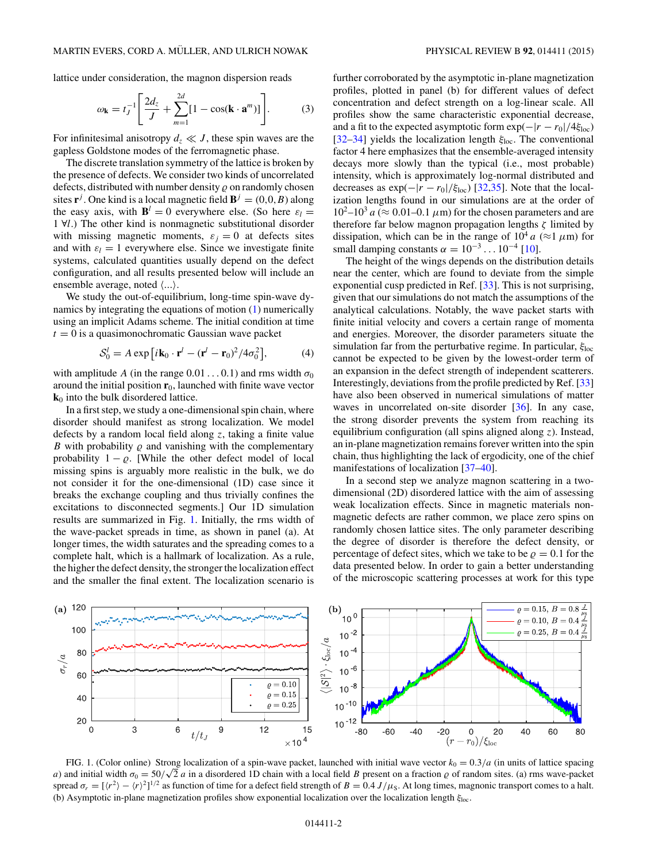<span id="page-1-0"></span>lattice under consideration, the magnon dispersion reads

$$
\omega_{\mathbf{k}} = t_J^{-1} \left[ \frac{2d_z}{J} + \sum_{m=1}^{2d} [1 - \cos(\mathbf{k} \cdot \mathbf{a}^m)] \right]. \tag{3}
$$

For infinitesimal anisotropy  $d_z \ll J$ , these spin waves are the gapless Goldstone modes of the ferromagnetic phase.

The discrete translation symmetry of the lattice is broken by the presence of defects. We consider two kinds of uncorrelated defects, distributed with number density  $\rho$  on randomly chosen sites **r**<sup>*j*</sup>. One kind is a local magnetic field  $\mathbf{B}^j = (0,0,B)$  along the easy axis, with  $\mathbf{B}^l = 0$  everywhere else. (So here  $\varepsilon_l =$ 1 ∀*l*.) The other kind is nonmagnetic substitutional disorder with missing magnetic moments,  $\varepsilon_j = 0$  at defects sites and with  $\varepsilon_l = 1$  everywhere else. Since we investigate finite systems, calculated quantities usually depend on the defect configuration, and all results presented below will include an ensemble average, noted  $\langle ... \rangle$ .

We study the out-of-equilibrium, long-time spin-wave dynamics by integrating the equations of motion [\(1\)](#page-0-0) numerically using an implicit Adams scheme. The initial condition at time  $t = 0$  is a quasimonochromatic Gaussian wave packet

$$
S_0^l = A \exp\left[i\mathbf{k}_0 \cdot \mathbf{r}^l - (\mathbf{r}^l - \mathbf{r}_0)^2 / 4\sigma_0^2\right],\tag{4}
$$

with amplitude *A* (in the range  $0.01...0.1$ ) and rms width  $\sigma_0$ around the initial position  $\mathbf{r}_0$ , launched with finite wave vector  $\mathbf{k}_0$  into the bulk disordered lattice.

In a first step, we study a one-dimensional spin chain, where disorder should manifest as strong localization. We model defects by a random local field along *z*, taking a finite value *B* with probability  $\rho$  and vanishing with the complementary probability  $1 - \varrho$ . [While the other defect model of local missing spins is arguably more realistic in the bulk, we do not consider it for the one-dimensional (1D) case since it breaks the exchange coupling and thus trivially confines the excitations to disconnected segments.] Our 1D simulation results are summarized in Fig. 1. Initially, the rms width of the wave-packet spreads in time, as shown in panel (a). At longer times, the width saturates and the spreading comes to a complete halt, which is a hallmark of localization. As a rule, the higher the defect density, the stronger the localization effect and the smaller the final extent. The localization scenario is further corroborated by the asymptotic in-plane magnetization profiles, plotted in panel (b) for different values of defect concentration and defect strength on a log-linear scale. All profiles show the same characteristic exponential decrease, and a fit to the expected asymptotic form  $\exp(-|r - r_0|/4\xi_{\text{loc}})$ [\[32–34\]](#page-4-0) yields the localization length *ξ*loc. The conventional factor 4 here emphasizes that the ensemble-averaged intensity decays more slowly than the typical (i.e., most probable) intensity, which is approximately log-normal distributed and decreases as  $\exp(-|r - r_0|/\xi_{\text{loc}})$  [\[32,35\]](#page-4-0). Note that the localization lengths found in our simulations are at the order of  $10^2$ – $10^3$  *a* ( $\approx 0.01$ – $0.1 \mu$ m) for the chosen parameters and are therefore far below magnon propagation lengths *ζ* limited by dissipation, which can be in the range of  $10^4 a$  ( $\approx$ 1  $\mu$ m) for small damping constants  $\alpha = 10^{-3} \dots 10^{-4}$  [\[10\]](#page-3-0).

The height of the wings depends on the distribution details near the center, which are found to deviate from the simple exponential cusp predicted in Ref. [\[33\]](#page-4-0). This is not surprising, given that our simulations do not match the assumptions of the analytical calculations. Notably, the wave packet starts with finite initial velocity and covers a certain range of momenta and energies. Moreover, the disorder parameters situate the simulation far from the perturbative regime. In particular, *ξ*loc cannot be expected to be given by the lowest-order term of an expansion in the defect strength of independent scatterers. Interestingly, deviations from the profile predicted by Ref. [\[33\]](#page-4-0) have also been observed in numerical simulations of matter waves in uncorrelated on-site disorder [\[36\]](#page-4-0). In any case, the strong disorder prevents the system from reaching its equilibrium configuration (all spins aligned along *z*). Instead, an in-plane magnetization remains forever written into the spin chain, thus highlighting the lack of ergodicity, one of the chief manifestations of localization [\[37–40\]](#page-4-0).

In a second step we analyze magnon scattering in a twodimensional (2D) disordered lattice with the aim of assessing weak localization effects. Since in magnetic materials nonmagnetic defects are rather common, we place zero spins on randomly chosen lattice sites. The only parameter describing the degree of disorder is therefore the defect density, or percentage of defect sites, which we take to be  $\rho = 0.1$  for the data presented below. In order to gain a better understanding of the microscopic scattering processes at work for this type



FIG. 1. (Color online) Strong localization of a spin-wave packet, launched with initial wave vector  $k_0 = 0.3/a$  (in units of lattice spacing *a*) and initial width  $\sigma_0 = 50/\sqrt{2}$  *a* in a disordered 1D chain with a local field *B* present on a fraction  $\rho$  of random sites. (a) rms wave-packet spread  $\sigma_r = [\langle r^2 \rangle - \langle r \rangle^2]^{1/2}$  as function of time for a defect field strength of  $B = 0.4 \, J/\mu_s$ . At long times, magnonic transport comes to a halt. (b) Asymptotic in-plane magnetization profiles show exponential localization over the localization length *ξ*loc.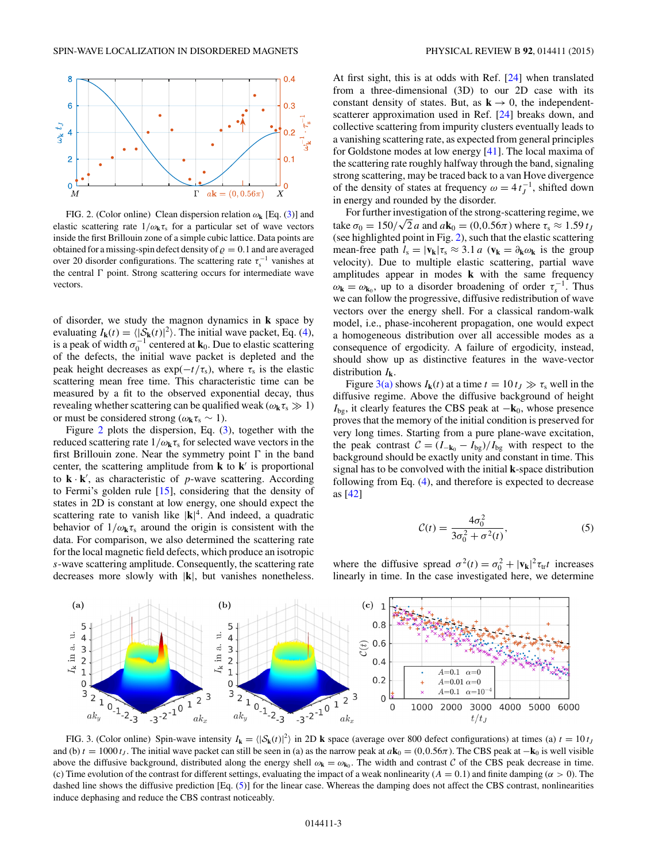<span id="page-2-0"></span>

FIG. 2. (Color online) Clean dispersion relation  $\omega_{\bf k}$  [Eq. [\(3\)](#page-1-0)] and elastic scattering rate  $1/\omega_k \tau_s$  for a particular set of wave vectors inside the first Brillouin zone of a simple cubic lattice. Data points are obtained for a missing-spin defect density of  $\rho = 0.1$  and are averaged over 20 disorder configurations. The scattering rate  $\tau_{\rm s}^{-1}$  vanishes at the central  $\Gamma$  point. Strong scattering occurs for intermediate wave vectors.

of disorder, we study the magnon dynamics in **k** space by evaluating  $I_{\mathbf{k}}(t) = \langle |\mathcal{S}_{\mathbf{k}}(t)|^2 \rangle$ . The initial wave packet, Eq. [\(4\)](#page-1-0), is a peak of width  $\sigma_0^{-1}$  centered at **k**<sub>0</sub>. Due to elastic scattering of the defects, the initial wave packet is depleted and the peak height decreases as  $exp(-t/\tau_s)$ , where  $\tau_s$  is the elastic scattering mean free time. This characteristic time can be measured by a fit to the observed exponential decay, thus revealing whether scattering can be qualified weak ( $\omega_{\mathbf{k}} \tau_s \gg 1$ ) or must be considered strong ( $\omega_{\mathbf{k}}\tau_{\mathbf{s}} \sim 1$ ).

Figure 2 plots the dispersion, Eq. [\(3\)](#page-1-0), together with the reduced scattering rate  $1/\omega_k \tau_s$  for selected wave vectors in the first Brillouin zone. Near the symmetry point  $\Gamma$  in the band center, the scattering amplitude from  $\bf{k}$  to  $\bf{k}'$  is proportional to  $\mathbf{k} \cdot \mathbf{k}'$ , as characteristic of *p*-wave scattering. According to Fermi's golden rule [\[15\]](#page-3-0), considering that the density of states in 2D is constant at low energy, one should expect the scattering rate to vanish like  $|\mathbf{k}|^4$ . And indeed, a quadratic behavior of  $1/\omega_k \tau_s$  around the origin is consistent with the data. For comparison, we also determined the scattering rate for the local magnetic field defects, which produce an isotropic *s*-wave scattering amplitude. Consequently, the scattering rate decreases more slowly with |**k**|, but vanishes nonetheless.

At first sight, this is at odds with Ref. [\[24\]](#page-3-0) when translated from a three-dimensional (3D) to our 2D case with its constant density of states. But, as  $\mathbf{k} \to 0$ , the independentscatterer approximation used in Ref. [\[24\]](#page-3-0) breaks down, and collective scattering from impurity clusters eventually leads to a vanishing scattering rate, as expected from general principles for Goldstone modes at low energy [\[41\]](#page-4-0). The local maxima of the scattering rate roughly halfway through the band, signaling strong scattering, may be traced back to a van Hove divergence

of the density of states at frequency  $\omega = 4 t_J^{-1}$ , shifted down

in energy and rounded by the disorder. For further investigation of the strong-scattering regime, we take  $\sigma_0 = 150/\sqrt{2}$  *a* and  $a\mathbf{k}_0 = (0, 0.56\pi)$  where  $\tau_s \approx 1.59$  *t<sub>J</sub>* (see highlighted point in Fig. 2), such that the elastic scattering mean-free path  $l_s = |\mathbf{v}_k|\tau_s \approx 3.1 a$  ( $\mathbf{v}_k = \partial_k \omega_k$  is the group velocity). Due to multiple elastic scattering, partial wave amplitudes appear in modes **k** with the same frequency  $\omega_{\mathbf{k}} = \omega_{\mathbf{k}_0}$ , up to a disorder broadening of order  $\tau_{s}^{-1}$ . Thus we can follow the progressive, diffusive redistribution of wave vectors over the energy shell. For a classical random-walk model, i.e., phase-incoherent propagation, one would expect a homogeneous distribution over all accessible modes as a consequence of ergodicity. A failure of ergodicity, instead, should show up as distinctive features in the wave-vector distribution  $I_k$ .

Figure 3(a) shows  $I_k(t)$  at a time  $t = 10 t_j \gg \tau_s$  well in the diffusive regime. Above the diffusive background of height *I*<sub>bg</sub>, it clearly features the CBS peak at −**k**<sub>0</sub>, whose presence proves that the memory of the initial condition is preserved for very long times. Starting from a pure plane-wave excitation, the peak contrast  $C = (I_{-{\bf k}_0} - I_{bg})/I_{bg}$  with respect to the background should be exactly unity and constant in time. This signal has to be convolved with the initial **k**-space distribution following from Eq. [\(4\)](#page-1-0), and therefore is expected to decrease as [\[42\]](#page-4-0)

$$
\mathcal{C}(t) = \frac{4\sigma_0^2}{3\sigma_0^2 + \sigma^2(t)},
$$
\n(5)

where the diffusive spread  $\sigma^2(t) = \sigma_0^2 + |\mathbf{v}_k|^2 \tau_{tr}t$  increases linearly in time. In the case investigated here, we determine



FIG. 3. (Color online) Spin-wave intensity  $I_k = \langle |\mathcal{S}_k(t)|^2 \rangle$  in 2D **k** space (average over 800 defect configurations) at times (a)  $t = 10 t_j$ and (b)  $t = 1000 t<sub>J</sub>$ . The initial wave packet can still be seen in (a) as the narrow peak at  $a\mathbf{k}_0 = (0, 0.56\pi)$ . The CBS peak at  $-\mathbf{k}_0$  is well visible above the diffusive background, distributed along the energy shell  $\omega_k = \omega_{k_0}$ . The width and contrast C of the CBS peak decrease in time. (c) Time evolution of the contrast for different settings, evaluating the impact of a weak nonlinearity  $(A = 0.1)$  and finite damping  $(\alpha > 0)$ . The dashed line shows the diffusive prediction [Eq. (5)] for the linear case. Whereas the damping does not affect the CBS contrast, nonlinearities induce dephasing and reduce the CBS contrast noticeably.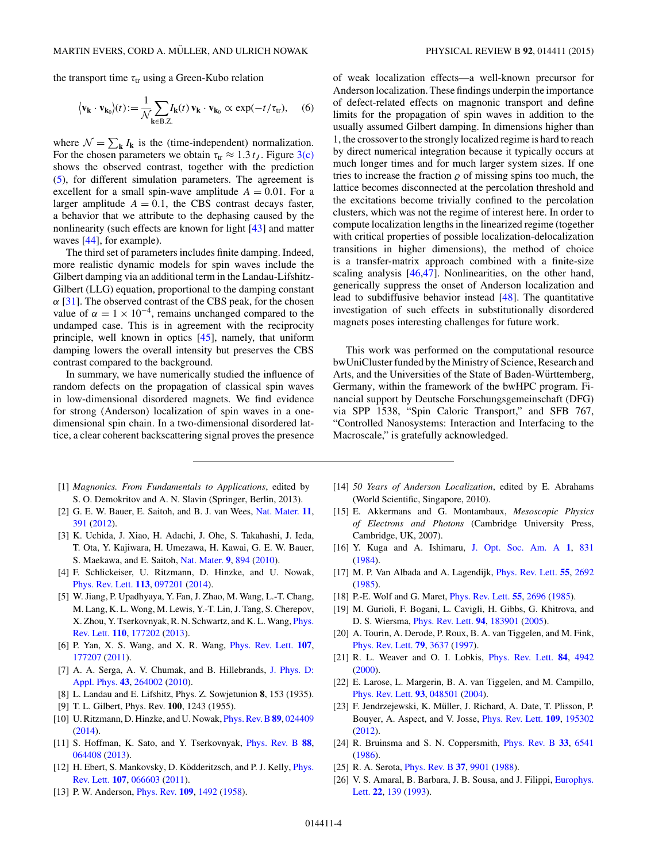<span id="page-3-0"></span>the transport time  $\tau_{tr}$  using a Green-Kubo relation

$$
\langle \mathbf{v}_{\mathbf{k}} \cdot \mathbf{v}_{\mathbf{k}_0} \rangle (t) := \frac{1}{\mathcal{N}} \sum_{\mathbf{k} \in \mathcal{B} \cdot Z} I_{\mathbf{k}}(t) \, \mathbf{v}_{\mathbf{k}} \cdot \mathbf{v}_{\mathbf{k}_0} \propto \exp(-t/\tau_{\text{tr}}), \quad (6)
$$

where  $\mathcal{N} = \sum_{\mathbf{k}} I_{\mathbf{k}}$  is the (time-independent) normalization. For the chosen parameters we obtain  $\tau_{tr} \approx 1.3 t_J$ . Figure [3\(c\)](#page-2-0) shows the observed contrast, together with the prediction [\(5\)](#page-2-0), for different simulation parameters. The agreement is excellent for a small spin-wave amplitude  $A = 0.01$ . For a larger amplitude  $A = 0.1$ , the CBS contrast decays faster, a behavior that we attribute to the dephasing caused by the nonlinearity (such effects are known for light [\[43\]](#page-4-0) and matter waves [\[44\]](#page-4-0), for example).

The third set of parameters includes finite damping. Indeed, more realistic dynamic models for spin waves include the Gilbert damping via an additional term in the Landau-Lifshitz-Gilbert (LLG) equation, proportional to the damping constant  $\alpha$  [\[31\]](#page-4-0). The observed contrast of the CBS peak, for the chosen value of  $\alpha = 1 \times 10^{-4}$ , remains unchanged compared to the undamped case. This is in agreement with the reciprocity principle, well known in optics [\[45\]](#page-4-0), namely, that uniform damping lowers the overall intensity but preserves the CBS contrast compared to the background.

In summary, we have numerically studied the influence of random defects on the propagation of classical spin waves in low-dimensional disordered magnets. We find evidence for strong (Anderson) localization of spin waves in a onedimensional spin chain. In a two-dimensional disordered lattice, a clear coherent backscattering signal proves the presence

- [1] *Magnonics. From Fundamentals to Applications*, edited by S. O. Demokritov and A. N. Slavin (Springer, Berlin, 2013).
- [2] G. E. W. Bauer, E. Saitoh, and B. J. van Wees, [Nat. Mater.](http://dx.doi.org/10.1038/nmat3301) **[11](http://dx.doi.org/10.1038/nmat3301)**, [391](http://dx.doi.org/10.1038/nmat3301) [\(2012\)](http://dx.doi.org/10.1038/nmat3301).
- [3] K. Uchida, J. Xiao, H. Adachi, J. Ohe, S. Takahashi, J. Ieda, T. Ota, Y. Kajiwara, H. Umezawa, H. Kawai, G. E. W. Bauer, S. Maekawa, and E. Saitoh, [Nat. Mater.](http://dx.doi.org/10.1038/nmat2856) **[9](http://dx.doi.org/10.1038/nmat2856)**, [894](http://dx.doi.org/10.1038/nmat2856) [\(2010\)](http://dx.doi.org/10.1038/nmat2856).
- [4] F. Schlickeiser, U. Ritzmann, D. Hinzke, and U. Nowak, [Phys. Rev. Lett.](http://dx.doi.org/10.1103/PhysRevLett.113.097201) **[113](http://dx.doi.org/10.1103/PhysRevLett.113.097201)**, [097201](http://dx.doi.org/10.1103/PhysRevLett.113.097201) [\(2014\)](http://dx.doi.org/10.1103/PhysRevLett.113.097201).
- [5] W. Jiang, P. Upadhyaya, Y. Fan, J. Zhao, M. Wang, L.-T. Chang, M. Lang, K. L. Wong, M. Lewis, Y.-T. Lin, J. Tang, S. Cherepov, [X. Zhou, Y. Tserkovnyak, R. N. Schwartz, and K. L. Wang,](http://dx.doi.org/10.1103/PhysRevLett.110.177202) Phys. Rev. Lett. **[110](http://dx.doi.org/10.1103/PhysRevLett.110.177202)**, [177202](http://dx.doi.org/10.1103/PhysRevLett.110.177202) [\(2013\)](http://dx.doi.org/10.1103/PhysRevLett.110.177202).
- [6] P. Yan, X. S. Wang, and X. R. Wang, [Phys. Rev. Lett.](http://dx.doi.org/10.1103/PhysRevLett.107.177207) **[107](http://dx.doi.org/10.1103/PhysRevLett.107.177207)**, [177207](http://dx.doi.org/10.1103/PhysRevLett.107.177207) [\(2011\)](http://dx.doi.org/10.1103/PhysRevLett.107.177207).
- [7] [A. A. Serga, A. V. Chumak, and B. Hillebrands,](http://dx.doi.org/10.1088/0022-3727/43/26/264002) J. Phys. D: Appl. Phys. **[43](http://dx.doi.org/10.1088/0022-3727/43/26/264002)**, [264002](http://dx.doi.org/10.1088/0022-3727/43/26/264002) [\(2010\)](http://dx.doi.org/10.1088/0022-3727/43/26/264002).
- [8] L. Landau and E. Lifshitz, Phys. Z. Sowjetunion **8**, 153 (1935).
- [9] T. L. Gilbert, Phys. Rev. **100**, 1243 (1955).
- [10] U. Ritzmann, D. Hinzke, and U. Nowak, [Phys. Rev. B](http://dx.doi.org/10.1103/PhysRevB.89.024409)**[89](http://dx.doi.org/10.1103/PhysRevB.89.024409)**, [024409](http://dx.doi.org/10.1103/PhysRevB.89.024409) [\(2014\)](http://dx.doi.org/10.1103/PhysRevB.89.024409).
- [11] S. Hoffman, K. Sato, and Y. Tserkovnyak, [Phys. Rev. B](http://dx.doi.org/10.1103/PhysRevB.88.064408) **[88](http://dx.doi.org/10.1103/PhysRevB.88.064408)**, [064408](http://dx.doi.org/10.1103/PhysRevB.88.064408) [\(2013\)](http://dx.doi.org/10.1103/PhysRevB.88.064408).
- [12] H. Ebert, S. Mankovsky, D. Ködderitzsch, and P. J. Kelly, *Phys.* Rev. Lett. **[107](http://dx.doi.org/10.1103/PhysRevLett.107.066603)**, [066603](http://dx.doi.org/10.1103/PhysRevLett.107.066603) [\(2011\)](http://dx.doi.org/10.1103/PhysRevLett.107.066603).
- [13] P. W. Anderson, [Phys. Rev.](http://dx.doi.org/10.1103/PhysRev.109.1492) **[109](http://dx.doi.org/10.1103/PhysRev.109.1492)**, [1492](http://dx.doi.org/10.1103/PhysRev.109.1492) [\(1958\)](http://dx.doi.org/10.1103/PhysRev.109.1492).

of weak localization effects—a well-known precursor for Anderson localization. These findings underpin the importance of defect-related effects on magnonic transport and define limits for the propagation of spin waves in addition to the usually assumed Gilbert damping. In dimensions higher than 1, the crossover to the strongly localized regime is hard to reach by direct numerical integration because it typically occurs at much longer times and for much larger system sizes. If one tries to increase the fraction  $\rho$  of missing spins too much, the lattice becomes disconnected at the percolation threshold and the excitations become trivially confined to the percolation clusters, which was not the regime of interest here. In order to compute localization lengths in the linearized regime (together with critical properties of possible localization-delocalization transitions in higher dimensions), the method of choice is a transfer-matrix approach combined with a finite-size scaling analysis [\[46,47\]](#page-4-0). Nonlinearities, on the other hand, generically suppress the onset of Anderson localization and lead to subdiffusive behavior instead [\[48\]](#page-4-0). The quantitative investigation of such effects in substitutionally disordered magnets poses interesting challenges for future work.

This work was performed on the computational resource bwUniCluster funded by the Ministry of Science, Research and Arts, and the Universities of the State of Baden-Württemberg, Germany, within the framework of the bwHPC program. Financial support by Deutsche Forschungsgemeinschaft (DFG) via SPP 1538, "Spin Caloric Transport," and SFB 767, "Controlled Nanosystems: Interaction and Interfacing to the Macroscale," is gratefully acknowledged.

- [14] *50 Years of Anderson Localization*, edited by E. Abrahams (World Scientific, Singapore, 2010).
- [15] E. Akkermans and G. Montambaux, *Mesoscopic Physics of Electrons and Photons* (Cambridge University Press, Cambridge, UK, 2007).
- [16] Y. Kuga and A. Ishimaru, [J. Opt. Soc. Am. A](http://dx.doi.org/10.1364/JOSAA.1.000831) **[1](http://dx.doi.org/10.1364/JOSAA.1.000831)**, [831](http://dx.doi.org/10.1364/JOSAA.1.000831) [\(1984\)](http://dx.doi.org/10.1364/JOSAA.1.000831).
- [17] M. P. Van Albada and A. Lagendijk, [Phys. Rev. Lett.](http://dx.doi.org/10.1103/PhysRevLett.55.2692) **[55](http://dx.doi.org/10.1103/PhysRevLett.55.2692)**, [2692](http://dx.doi.org/10.1103/PhysRevLett.55.2692) [\(1985\)](http://dx.doi.org/10.1103/PhysRevLett.55.2692).
- [18] P.-E. Wolf and G. Maret, [Phys. Rev. Lett.](http://dx.doi.org/10.1103/PhysRevLett.55.2696) **[55](http://dx.doi.org/10.1103/PhysRevLett.55.2696)**, [2696](http://dx.doi.org/10.1103/PhysRevLett.55.2696) [\(1985\)](http://dx.doi.org/10.1103/PhysRevLett.55.2696).
- [19] M. Gurioli, F. Bogani, L. Cavigli, H. Gibbs, G. Khitrova, and D. S. Wiersma, [Phys. Rev. Lett.](http://dx.doi.org/10.1103/PhysRevLett.94.183901) **[94](http://dx.doi.org/10.1103/PhysRevLett.94.183901)**, [183901](http://dx.doi.org/10.1103/PhysRevLett.94.183901) [\(2005\)](http://dx.doi.org/10.1103/PhysRevLett.94.183901).
- [20] A. Tourin, A. Derode, P. Roux, B. A. van Tiggelen, and M. Fink, [Phys. Rev. Lett.](http://dx.doi.org/10.1103/PhysRevLett.79.3637) **[79](http://dx.doi.org/10.1103/PhysRevLett.79.3637)**, [3637](http://dx.doi.org/10.1103/PhysRevLett.79.3637) [\(1997\)](http://dx.doi.org/10.1103/PhysRevLett.79.3637).
- [21] R. L. Weaver and O. I. Lobkis, [Phys. Rev. Lett.](http://dx.doi.org/10.1103/PhysRevLett.84.4942) **[84](http://dx.doi.org/10.1103/PhysRevLett.84.4942)**, [4942](http://dx.doi.org/10.1103/PhysRevLett.84.4942) [\(2000\)](http://dx.doi.org/10.1103/PhysRevLett.84.4942).
- [22] E. Larose, L. Margerin, B. A. van Tiggelen, and M. Campillo, [Phys. Rev. Lett.](http://dx.doi.org/10.1103/PhysRevLett.93.048501) **[93](http://dx.doi.org/10.1103/PhysRevLett.93.048501)**, [048501](http://dx.doi.org/10.1103/PhysRevLett.93.048501) [\(2004\)](http://dx.doi.org/10.1103/PhysRevLett.93.048501).
- [23] F. Jendrzejewski, K. Müller, J. Richard, A. Date, T. Plisson, P. Bouyer, A. Aspect, and V. Josse, [Phys. Rev. Lett.](http://dx.doi.org/10.1103/PhysRevLett.109.195302) **[109](http://dx.doi.org/10.1103/PhysRevLett.109.195302)**, [195302](http://dx.doi.org/10.1103/PhysRevLett.109.195302) [\(2012\)](http://dx.doi.org/10.1103/PhysRevLett.109.195302).
- [24] R. Bruinsma and S. N. Coppersmith, [Phys. Rev. B](http://dx.doi.org/10.1103/PhysRevB.33.6541) **[33](http://dx.doi.org/10.1103/PhysRevB.33.6541)**, [6541](http://dx.doi.org/10.1103/PhysRevB.33.6541) [\(1986\)](http://dx.doi.org/10.1103/PhysRevB.33.6541).
- [25] R. A. Serota, [Phys. Rev. B](http://dx.doi.org/10.1103/PhysRevB.37.9901) **[37](http://dx.doi.org/10.1103/PhysRevB.37.9901)**, [9901](http://dx.doi.org/10.1103/PhysRevB.37.9901) [\(1988\)](http://dx.doi.org/10.1103/PhysRevB.37.9901).
- [26] [V. S. Amaral, B. Barbara, J. B. Sousa, and J. Filippi,](http://dx.doi.org/10.1209/0295-5075/22/2/011) Europhys. Lett. **[22](http://dx.doi.org/10.1209/0295-5075/22/2/011)**, [139](http://dx.doi.org/10.1209/0295-5075/22/2/011) [\(1993\)](http://dx.doi.org/10.1209/0295-5075/22/2/011).